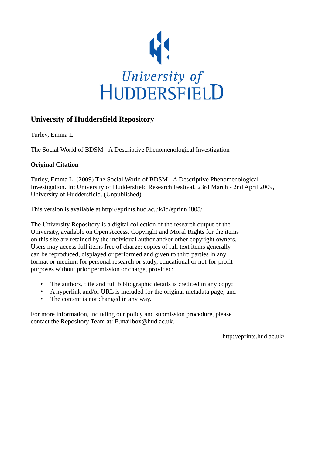

#### **University of Huddersfield Repository**

Turley, Emma L.

The Social World of BDSM - A Descriptive Phenomenological Investigation

#### **Original Citation**

Turley, Emma L. (2009) The Social World of BDSM - A Descriptive Phenomenological Investigation. In: University of Huddersfield Research Festival, 23rd March - 2nd April 2009, University of Huddersfield. (Unpublished)

This version is available at http://eprints.hud.ac.uk/id/eprint/4805/

The University Repository is a digital collection of the research output of the University, available on Open Access. Copyright and Moral Rights for the items on this site are retained by the individual author and/or other copyright owners. Users may access full items free of charge; copies of full text items generally can be reproduced, displayed or performed and given to third parties in any format or medium for personal research or study, educational or not-for-profit purposes without prior permission or charge, provided:

- The authors, title and full bibliographic details is credited in any copy;
- A hyperlink and/or URL is included for the original metadata page; and
- The content is not changed in any way.

For more information, including our policy and submission procedure, please contact the Repository Team at: E.mailbox@hud.ac.uk.

http://eprints.hud.ac.uk/